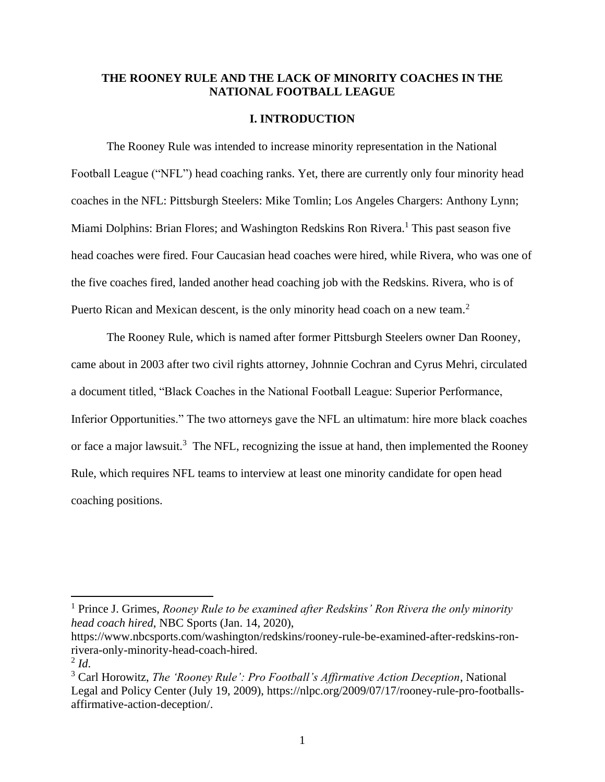# **THE ROONEY RULE AND THE LACK OF MINORITY COACHES IN THE NATIONAL FOOTBALL LEAGUE**

### **I. INTRODUCTION**

The Rooney Rule was intended to increase minority representation in the National Football League ("NFL") head coaching ranks. Yet, there are currently only four minority head coaches in the NFL: Pittsburgh Steelers: Mike Tomlin; Los Angeles Chargers: Anthony Lynn; Miami Dolphins: Brian Flores; and Washington Redskins Ron Rivera.<sup>1</sup> This past season five head coaches were fired. Four Caucasian head coaches were hired, while Rivera, who was one of the five coaches fired, landed another head coaching job with the Redskins. Rivera, who is of Puerto Rican and Mexican descent, is the only minority head coach on a new team.<sup>2</sup>

The Rooney Rule, which is named after former Pittsburgh Steelers owner Dan Rooney, came about in 2003 after two civil rights attorney, Johnnie Cochran and Cyrus Mehri, circulated a document titled, "Black Coaches in the National Football League: Superior Performance, Inferior Opportunities." The two attorneys gave the NFL an ultimatum: hire more black coaches or face a major lawsuit.<sup>3</sup> The NFL, recognizing the issue at hand, then implemented the Rooney Rule, which requires NFL teams to interview at least one minority candidate for open head coaching positions.

[https://www.nbcsports.com/washington/redskins/rooney-rule-be-examined-after-redskins-ron](https://www.nbcsports.com/washington/redskins/rooney-rule-be-examined-after-redskins-ron-rivera-only-minority-head-coach-hired)[rivera-only-minority-head-coach-hired.](https://www.nbcsports.com/washington/redskins/rooney-rule-be-examined-after-redskins-ron-rivera-only-minority-head-coach-hired)

<sup>1</sup> Prince J. Grimes, *Rooney Rule to be examined after Redskins' Ron Rivera the only minority head coach hired*, NBC Sports (Jan. 14, 2020),

<sup>2</sup> *Id*.

<sup>3</sup> Carl Horowitz, *The 'Rooney Rule': Pro Football's Affirmative Action Deception*, National Legal and Policy Center (July 19, 2009), [https://nlpc.org/2009/07/17/rooney-rule-pro-footballs](https://nlpc.org/2009/07/17/rooney-rule-pro-footballs-affirmative-action-deception/)[affirmative-action-deception/.](https://nlpc.org/2009/07/17/rooney-rule-pro-footballs-affirmative-action-deception/)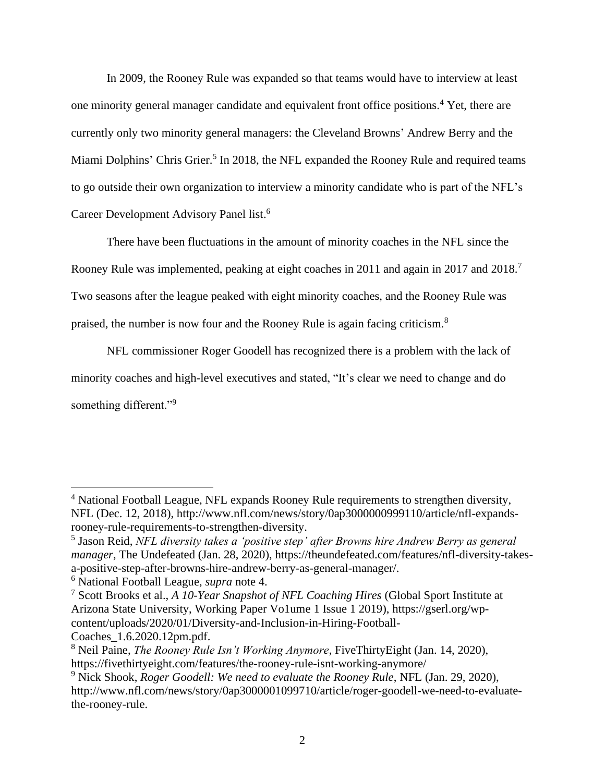In 2009, the Rooney Rule was expanded so that teams would have to interview at least one minority general manager candidate and equivalent front office positions.<sup>4</sup> Yet, there are currently only two minority general managers: the Cleveland Browns' Andrew Berry and the Miami Dolphins' Chris Grier.<sup>5</sup> In 2018, the NFL expanded the Rooney Rule and required teams to go outside their own organization to interview a minority candidate who is part of the NFL's Career Development Advisory Panel list. 6

There have been fluctuations in the amount of minority coaches in the NFL since the Rooney Rule was implemented, peaking at eight coaches in 2011 and again in 2017 and 2018.<sup>7</sup> Two seasons after the league peaked with eight minority coaches, and the Rooney Rule was praised, the number is now four and the Rooney Rule is again facing criticism.<sup>8</sup>

NFL commissioner Roger Goodell has recognized there is a problem with the lack of minority coaches and high-level executives and stated, "It's clear we need to change and do something different."<sup>9</sup>

<sup>4</sup> National Football League, NFL expands Rooney Rule requirements to strengthen diversity, NFL (Dec. 12, 2018), [http://www.nfl.com/news/story/0ap3000000999110/article/nfl-expands](http://www.nfl.com/news/story/0ap3000000999110/article/nfl-expands-rooney-rule-requirements-to-strengthen-diversity)[rooney-rule-requirements-to-strengthen-diversity.](http://www.nfl.com/news/story/0ap3000000999110/article/nfl-expands-rooney-rule-requirements-to-strengthen-diversity)

<sup>5</sup> Jason Reid, *NFL diversity takes a 'positive step' after Browns hire Andrew Berry as general manager*, The Undefeated (Jan. 28, 2020), [https://theundefeated.com/features/nfl-diversity-takes](https://theundefeated.com/features/nfl-diversity-takes-a-positive-step-after-browns-hire-andrew-berry-as-general-manager/)[a-positive-step-after-browns-hire-andrew-berry-as-general-manager/.](https://theundefeated.com/features/nfl-diversity-takes-a-positive-step-after-browns-hire-andrew-berry-as-general-manager/)

<sup>6</sup> National Football League, *supra* note 4.

<sup>7</sup> Scott Brooks et al., *A 10-Year Snapshot of NFL Coaching Hires* (Global Sport Institute at Arizona State University, Working Paper Vo1ume 1 Issue 1 2019), [https://gserl.org/wp](https://gserl.org/wp-content/uploads/2020/01/Diversity-and-Inclusion-in-Hiring-Football-Coaches_1.6.2020.12pm.pdf)[content/uploads/2020/01/Diversity-and-Inclusion-in-Hiring-Football-](https://gserl.org/wp-content/uploads/2020/01/Diversity-and-Inclusion-in-Hiring-Football-Coaches_1.6.2020.12pm.pdf)

[Coaches\\_1.6.2020.12pm.pdf.](https://gserl.org/wp-content/uploads/2020/01/Diversity-and-Inclusion-in-Hiring-Football-Coaches_1.6.2020.12pm.pdf)

<sup>8</sup> Neil Paine, *The Rooney Rule Isn't Working Anymore*, FiveThirtyEight (Jan. 14, 2020), <https://fivethirtyeight.com/features/the-rooney-rule-isnt-working-anymore/>

<sup>9</sup> Nick Shook, *Roger Goodell: We need to evaluate the Rooney Rule*, NFL (Jan. 29, 2020), [http://www.nfl.com/news/story/0ap3000001099710/article/roger-goodell-we-need-to-evaluate](http://www.nfl.com/news/story/0ap3000001099710/article/roger-goodell-we-need-to-evaluate-the-rooney-rule)[the-rooney-rule.](http://www.nfl.com/news/story/0ap3000001099710/article/roger-goodell-we-need-to-evaluate-the-rooney-rule)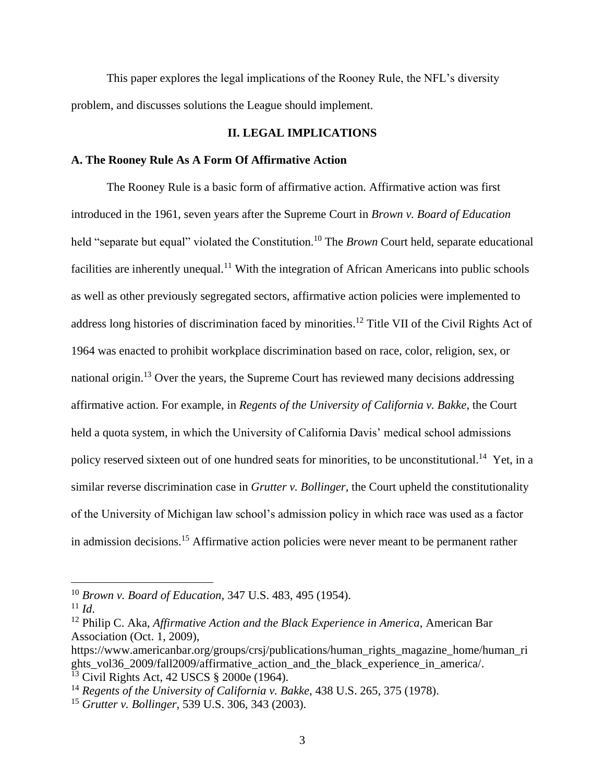This paper explores the legal implications of the Rooney Rule, the NFL's diversity problem, and discusses solutions the League should implement.

## **II. LEGAL IMPLICATIONS**

## **A. The Rooney Rule As A Form Of Affirmative Action**

The Rooney Rule is a basic form of affirmative action. Affirmative action was first introduced in the 1961, seven years after the Supreme Court in *Brown v. Board of Education* held "separate but equal" violated the Constitution.<sup>10</sup> The *Brown* Court held, separate educational facilities are inherently unequal.<sup>11</sup> With the integration of African Americans into public schools as well as other previously segregated sectors, affirmative action policies were implemented to address long histories of discrimination faced by minorities.<sup>12</sup> Title VII of the Civil Rights Act of 1964 was enacted to prohibit workplace discrimination based on race, color, religion, sex, or national origin.<sup>13</sup> Over the years, the Supreme Court has reviewed many decisions addressing affirmative action. For example, in *Regents of the University of California v. Bakke*, the Court held a quota system, in which the University of California Davis' medical school admissions policy reserved sixteen out of one hundred seats for minorities, to be unconstitutional.<sup>14</sup> Yet, in a similar reverse discrimination case in *Grutter v. Bollinger*, the Court upheld the constitutionality of the University of Michigan law school's admission policy in which race was used as a factor in admission decisions.<sup>15</sup> Affirmative action policies were never meant to be permanent rather

<sup>10</sup> *Brown v. Board of Education*, 347 U.S. 483, 495 (1954).

 $11$  *Id.* 

<sup>12</sup> Philip C. Aka, *Affirmative Action and the Black Experience in America*, American Bar Association (Oct. 1, 2009),

[https://www.americanbar.org/groups/crsj/publications/human\\_rights\\_magazine\\_home/human\\_ri](https://www.americanbar.org/groups/crsj/publications/human_rights_magazine_home/human_rights_vol36_2009/fall2009/affirmative_action_and_the_black_experience_in_america/) ghts vol36 2009/fall2009/affirmative action and the black experience in america/. <sup>13</sup> Civil Rights Act, 42 USCS § 2000e (1964).

<sup>14</sup> *Regents of the University of California v. Bakke*, 438 U.S. 265, 375 (1978).

<sup>15</sup> *Grutter v. Bollinger*, 539 U.S. 306, 343 (2003).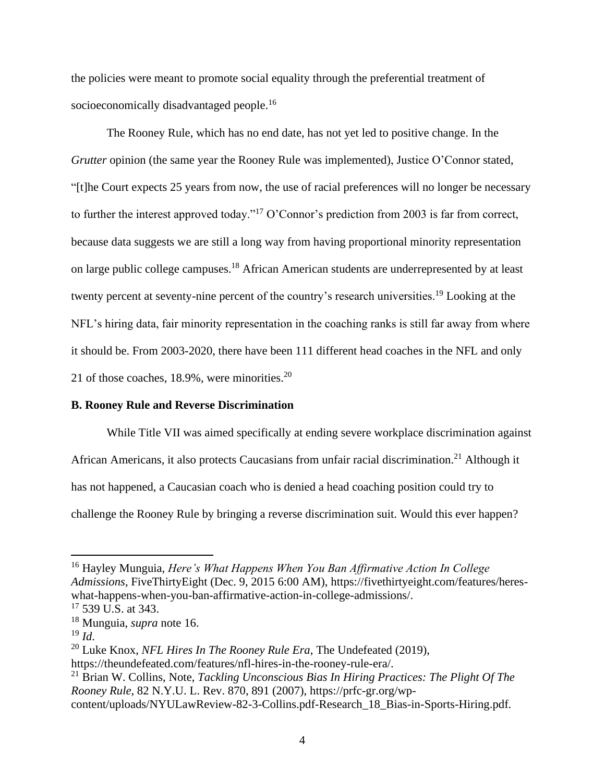the policies were meant to promote social equality through the preferential treatment of socioeconomically disadvantaged people.<sup>16</sup>

The Rooney Rule, which has no end date, has not yet led to positive change. In the *Grutter* opinion (the same year the Rooney Rule was implemented), Justice O'Connor stated, "[t]he Court expects 25 years from now, the use of racial preferences will no longer be necessary to further the interest approved today."<sup>17</sup> O'Connor's prediction from 2003 is far from correct, because data suggests we are still a long way from having proportional minority representation on large public college campuses.<sup>18</sup> African American students are underrepresented by at least twenty percent at seventy-nine percent of the country's research universities.<sup>19</sup> Looking at the NFL's hiring data, fair minority representation in the coaching ranks is still far away from where it should be. From 2003-2020, there have been 111 different head coaches in the NFL and only 21 of those coaches,  $18.9\%$ , were minorities.<sup>20</sup>

#### **B. Rooney Rule and Reverse Discrimination**

While Title VII was aimed specifically at ending severe workplace discrimination against African Americans, it also protects Caucasians from unfair racial discrimination.<sup>21</sup> Although it has not happened, a Caucasian coach who is denied a head coaching position could try to challenge the Rooney Rule by bringing a reverse discrimination suit. Would this ever happen?

<sup>16</sup> Hayley Munguia, *Here's What Happens When You Ban Affirmative Action In College Admissions*, FiveThirtyEight (Dec. 9, 2015 6:00 AM), [https://fivethirtyeight.com/features/heres](https://fivethirtyeight.com/features/heres-what-happens-when-you-ban-affirmative-action-in-college-admissions/)[what-happens-when-you-ban-affirmative-action-in-college-admissions/.](https://fivethirtyeight.com/features/heres-what-happens-when-you-ban-affirmative-action-in-college-admissions/)

 $17$  539 U.S. at 343.

<sup>18</sup> Munguia, *supra* note 16.

<sup>19</sup> *Id*.

<sup>20</sup> Luke Knox, *NFL Hires In The Rooney Rule Era*, The Undefeated (2019), [https://theundefeated.com/features/nfl-hires-in-the-rooney-rule-era/.](https://theundefeated.com/features/nfl-hires-in-the-rooney-rule-era/)

<sup>21</sup> Brian W. Collins, Note, *Tackling Unconscious Bias In Hiring Practices: The Plight Of The Rooney Rule*, 82 N.Y.U. L. Rev. 870, 891 (2007), [https://prfc-gr.org/wp](https://prfc-gr.org/wp-content/uploads/NYULawReview-82-3-Collins.pdf-Research_18_Bias-in-Sports-Hiring.pdf)[content/uploads/NYULawReview-82-3-Collins.pdf-Research\\_18\\_Bias-in-Sports-Hiring.pdf.](https://prfc-gr.org/wp-content/uploads/NYULawReview-82-3-Collins.pdf-Research_18_Bias-in-Sports-Hiring.pdf)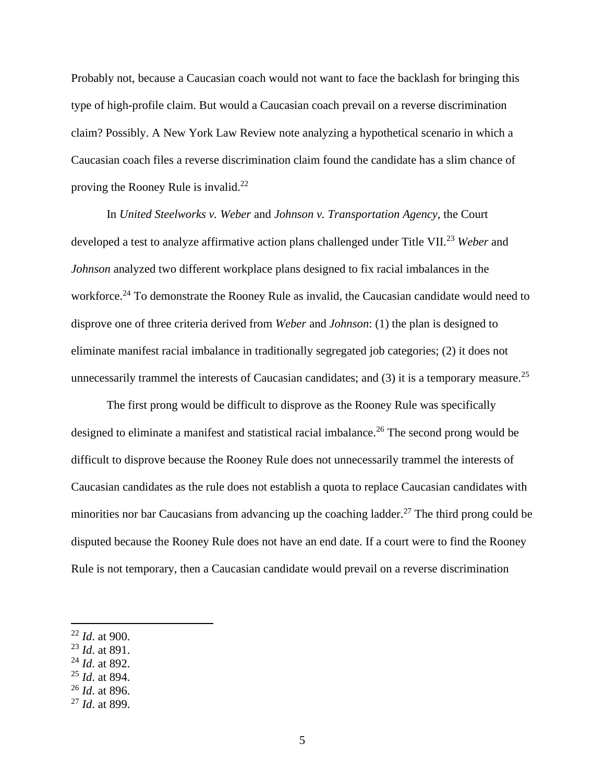Probably not, because a Caucasian coach would not want to face the backlash for bringing this type of high-profile claim. But would a Caucasian coach prevail on a reverse discrimination claim? Possibly. A New York Law Review note analyzing a hypothetical scenario in which a Caucasian coach files a reverse discrimination claim found the candidate has a slim chance of proving the Rooney Rule is invalid. $^{22}$ 

In *United Steelworks v. Weber* and *Johnson v. Transportation Agency*, the Court developed a test to analyze affirmative action plans challenged under Title VII.<sup>23</sup> *Weber* and *Johnson* analyzed two different workplace plans designed to fix racial imbalances in the workforce.<sup>24</sup> To demonstrate the Rooney Rule as invalid, the Caucasian candidate would need to disprove one of three criteria derived from *Weber* and *Johnson*: (1) the plan is designed to eliminate manifest racial imbalance in traditionally segregated job categories; (2) it does not unnecessarily trammel the interests of Caucasian candidates; and  $(3)$  it is a temporary measure.<sup>25</sup>

The first prong would be difficult to disprove as the Rooney Rule was specifically designed to eliminate a manifest and statistical racial imbalance.<sup>26</sup> The second prong would be difficult to disprove because the Rooney Rule does not unnecessarily trammel the interests of Caucasian candidates as the rule does not establish a quota to replace Caucasian candidates with minorities nor bar Caucasians from advancing up the coaching ladder.<sup>27</sup> The third prong could be disputed because the Rooney Rule does not have an end date. If a court were to find the Rooney Rule is not temporary, then a Caucasian candidate would prevail on a reverse discrimination

<sup>24</sup> *Id*. at 892.

<sup>26</sup> *Id*. at 896.

<sup>22</sup> *Id*. at 900.

<sup>23</sup> *Id*. at 891.

<sup>25</sup> *Id*. at 894.

<sup>27</sup> *Id*. at 899.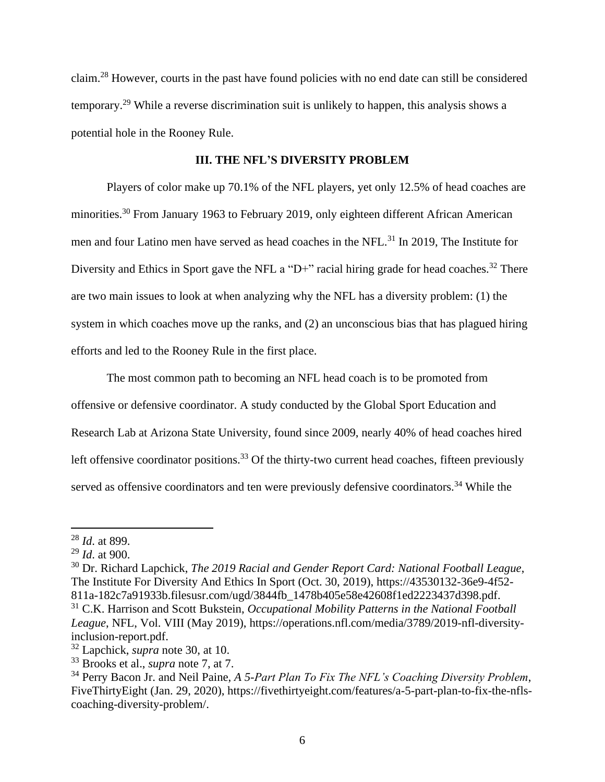claim.<sup>28</sup> However, courts in the past have found policies with no end date can still be considered temporary.<sup>29</sup> While a reverse discrimination suit is unlikely to happen, this analysis shows a potential hole in the Rooney Rule.

## **III. THE NFL'S DIVERSITY PROBLEM**

Players of color make up 70.1% of the NFL players, yet only 12.5% of head coaches are minorities.<sup>30</sup> From January 1963 to February 2019, only eighteen different African American men and four Latino men have served as head coaches in the NFL.<sup>31</sup> In 2019, The Institute for Diversity and Ethics in Sport gave the NFL a "D+" racial hiring grade for head coaches.<sup>32</sup> There are two main issues to look at when analyzing why the NFL has a diversity problem: (1) the system in which coaches move up the ranks, and (2) an unconscious bias that has plagued hiring efforts and led to the Rooney Rule in the first place.

The most common path to becoming an NFL head coach is to be promoted from offensive or defensive coordinator. A study conducted by the Global Sport Education and Research Lab at Arizona State University, found since 2009, nearly 40% of head coaches hired left offensive coordinator positions.<sup>33</sup> Of the thirty-two current head coaches, fifteen previously served as offensive coordinators and ten were previously defensive coordinators.<sup>34</sup> While the

<sup>28</sup> *Id*. at 899.

<sup>29</sup> *Id*. at 900.

<sup>30</sup> Dr. Richard Lapchick, *The 2019 Racial and Gender Report Card: National Football League*, The Institute For Diversity And Ethics In Sport (Oct. 30, 2019), [https://43530132-36e9-4f52-](https://43530132-36e9-4f52-811a-182c7a91933b.filesusr.com/ugd/3844fb_1478b405e58e42608f1ed2223437d398.pdf) [811a-182c7a91933b.filesusr.com/ugd/3844fb\\_1478b405e58e42608f1ed2223437d398.pdf.](https://43530132-36e9-4f52-811a-182c7a91933b.filesusr.com/ugd/3844fb_1478b405e58e42608f1ed2223437d398.pdf) <sup>31</sup> C.K. Harrison and Scott Bukstein, *Occupational Mobility Patterns in the National Football League*, NFL, Vol. VIII (May 2019), [https://operations.nfl.com/media/3789/2019-nfl-diversity-](https://operations.nfl.com/media/3789/2019-nfl-diversity-inclusion-report.pdf)

[inclusion-report.pdf.](https://operations.nfl.com/media/3789/2019-nfl-diversity-inclusion-report.pdf)

<sup>32</sup> Lapchick, *supra* note 30, at 10.

<sup>33</sup> Brooks et al., *supra* note 7, at 7.

<sup>34</sup> Perry Bacon Jr. and Neil Paine, *A 5-Part Plan To Fix The NFL's Coaching Diversity Problem*, FiveThirtyEight (Jan. 29, 2020), [https://fivethirtyeight.com/features/a-5-part-plan-to-fix-the-nfls](https://fivethirtyeight.com/features/a-5-part-plan-to-fix-the-nfls-coaching-diversity-problem/)[coaching-diversity-problem/.](https://fivethirtyeight.com/features/a-5-part-plan-to-fix-the-nfls-coaching-diversity-problem/)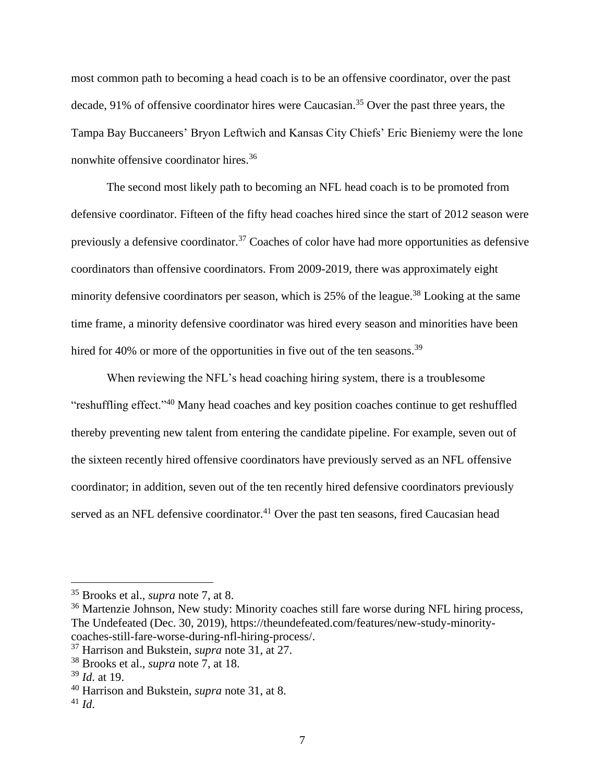most common path to becoming a head coach is to be an offensive coordinator, over the past decade, 91% of offensive coordinator hires were Caucasian.<sup>35</sup> Over the past three years, the Tampa Bay Buccaneers' Bryon Leftwich and Kansas City Chiefs' Eric Bieniemy were the lone nonwhite offensive coordinator hires.<sup>36</sup>

The second most likely path to becoming an NFL head coach is to be promoted from defensive coordinator. Fifteen of the fifty head coaches hired since the start of 2012 season were previously a defensive coordinator.<sup>37</sup> Coaches of color have had more opportunities as defensive coordinators than offensive coordinators. From 2009-2019, there was approximately eight minority defensive coordinators per season, which is  $25\%$  of the league.<sup>38</sup> Looking at the same time frame, a minority defensive coordinator was hired every season and minorities have been hired for 40% or more of the opportunities in five out of the ten seasons.<sup>39</sup>

When reviewing the NFL's head coaching hiring system, there is a troublesome "reshuffling effect."<sup>40</sup> Many head coaches and key position coaches continue to get reshuffled thereby preventing new talent from entering the candidate pipeline. For example, seven out of the sixteen recently hired offensive coordinators have previously served as an NFL offensive coordinator; in addition, seven out of the ten recently hired defensive coordinators previously served as an NFL defensive coordinator.<sup>41</sup> Over the past ten seasons, fired Caucasian head

<sup>35</sup> Brooks et al., *supra* note 7, at 8.

 $36$  Martenzie Johnson, New study: Minority coaches still fare worse during NFL hiring process, The Undefeated (Dec. 30, 2019), [https://theundefeated.com/features/new-study-minority](https://theundefeated.com/features/new-study-minority-coaches-still-fare-worse-during-nfl-hiring-process/)[coaches-still-fare-worse-during-nfl-hiring-process/.](https://theundefeated.com/features/new-study-minority-coaches-still-fare-worse-during-nfl-hiring-process/)

<sup>37</sup> Harrison and Bukstein, *supra* note 31, at 27.

<sup>38</sup> Brooks et al., *supra* note 7, at 18.

<sup>39</sup> *Id*. at 19.

<sup>40</sup> Harrison and Bukstein, *supra* note 31, at 8.

<sup>41</sup> *Id*.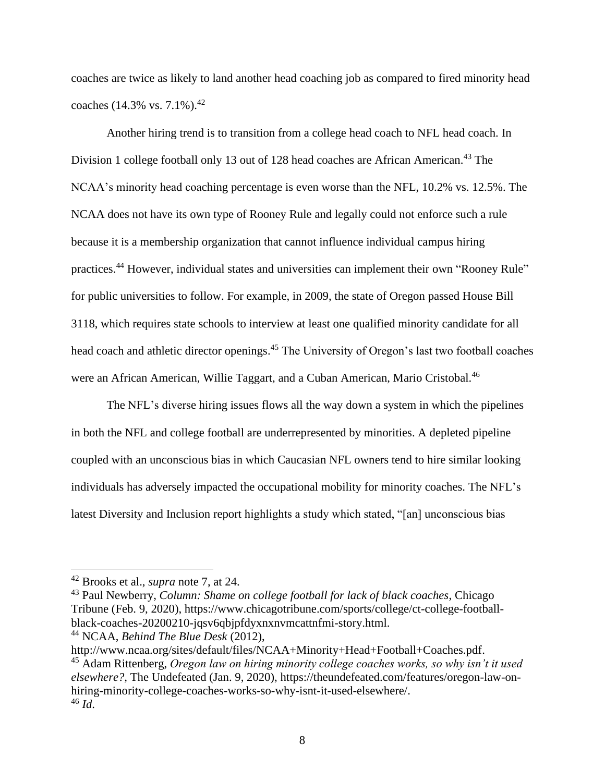coaches are twice as likely to land another head coaching job as compared to fired minority head coaches (14.3% vs.  $7.1\%$ ).<sup>42</sup>

Another hiring trend is to transition from a college head coach to NFL head coach. In Division 1 college football only 13 out of 128 head coaches are African American.<sup>43</sup> The NCAA's minority head coaching percentage is even worse than the NFL, 10.2% vs. 12.5%. The NCAA does not have its own type of Rooney Rule and legally could not enforce such a rule because it is a membership organization that cannot influence individual campus hiring practices.<sup>44</sup> However, individual states and universities can implement their own "Rooney Rule" for public universities to follow. For example, in 2009, the state of Oregon passed House Bill 3118, which requires state schools to interview at least one qualified minority candidate for all head coach and athletic director openings.<sup>45</sup> The University of Oregon's last two football coaches were an African American, Willie Taggart, and a Cuban American, Mario Cristobal.<sup>46</sup>

The NFL's diverse hiring issues flows all the way down a system in which the pipelines in both the NFL and college football are underrepresented by minorities. A depleted pipeline coupled with an unconscious bias in which Caucasian NFL owners tend to hire similar looking individuals has adversely impacted the occupational mobility for minority coaches. The NFL's latest Diversity and Inclusion report highlights a study which stated, "[an] unconscious bias

<sup>42</sup> Brooks et al., *supra* note 7, at 24.

<sup>43</sup> Paul Newberry, *Column: Shame on college football for lack of black coaches*, Chicago Tribune (Feb. 9, 2020), [https://www.chicagotribune.com/sports/college/ct-college-football](https://www.chicagotribune.com/sports/college/ct-college-football-black-coaches-20200210-jqsv6qbjpfdyxnxnvmcattnfmi-story.html)[black-coaches-20200210-jqsv6qbjpfdyxnxnvmcattnfmi-story.html.](https://www.chicagotribune.com/sports/college/ct-college-football-black-coaches-20200210-jqsv6qbjpfdyxnxnvmcattnfmi-story.html)

<sup>44</sup> NCAA, *Behind The Blue Desk* (2012),

[http://www.ncaa.org/sites/default/files/NCAA+Minority+Head+Football+Coaches.pdf.](http://www.ncaa.org/sites/default/files/NCAA+Minority+Head+Football+Coaches.pdf) <sup>45</sup> Adam Rittenberg, *Oregon law on hiring minority college coaches works, so why isn't it used elsewhere?,* The Undefeated (Jan. 9, 2020), [https://theundefeated.com/features/oregon-law-on](https://theundefeated.com/features/oregon-law-on-hiring-minority-college-coaches-works-so-why-isnt-it-used-elsewhere/)[hiring-minority-college-coaches-works-so-why-isnt-it-used-elsewhere/.](https://theundefeated.com/features/oregon-law-on-hiring-minority-college-coaches-works-so-why-isnt-it-used-elsewhere/) <sup>46</sup> *Id*.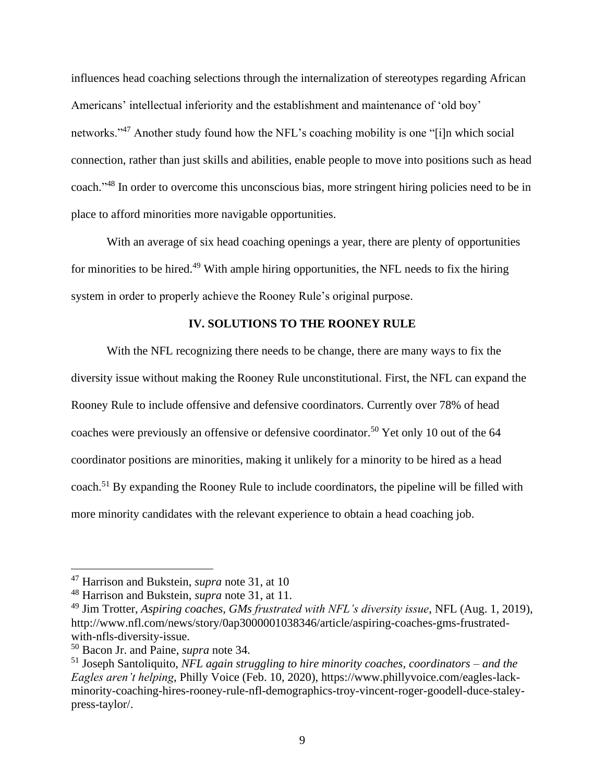influences head coaching selections through the internalization of stereotypes regarding African Americans' intellectual inferiority and the establishment and maintenance of 'old boy' networks."<sup>47</sup> Another study found how the NFL's coaching mobility is one "[i]n which social connection, rather than just skills and abilities, enable people to move into positions such as head coach."<sup>48</sup> In order to overcome this unconscious bias, more stringent hiring policies need to be in place to afford minorities more navigable opportunities.

With an average of six head coaching openings a year, there are plenty of opportunities for minorities to be hired.<sup>49</sup> With ample hiring opportunities, the NFL needs to fix the hiring system in order to properly achieve the Rooney Rule's original purpose.

## **IV. SOLUTIONS TO THE ROONEY RULE**

With the NFL recognizing there needs to be change, there are many ways to fix the diversity issue without making the Rooney Rule unconstitutional. First, the NFL can expand the Rooney Rule to include offensive and defensive coordinators. Currently over 78% of head coaches were previously an offensive or defensive coordinator.<sup>50</sup> Yet only 10 out of the 64 coordinator positions are minorities, making it unlikely for a minority to be hired as a head coach.<sup>51</sup> By expanding the Rooney Rule to include coordinators, the pipeline will be filled with more minority candidates with the relevant experience to obtain a head coaching job.

<sup>47</sup> Harrison and Bukstein, *supra* note 31, at 10

<sup>48</sup> Harrison and Bukstein, *supra* note 31, at 11.

<sup>49</sup> Jim Trotter, *Aspiring coaches, GMs frustrated with NFL's diversity issue*, NFL (Aug. 1, 2019), [http://www.nfl.com/news/story/0ap3000001038346/article/aspiring-coaches-gms-frustrated](http://www.nfl.com/news/story/0ap3000001038346/article/aspiring-coaches-gms-frustrated-with-nfls-diversity-issue)[with-nfls-diversity-issue.](http://www.nfl.com/news/story/0ap3000001038346/article/aspiring-coaches-gms-frustrated-with-nfls-diversity-issue)

<sup>50</sup> Bacon Jr. and Paine, *supra* note 34.

<sup>51</sup> Joseph Santoliquito, *NFL again struggling to hire minority coaches, coordinators – and the Eagles aren't helping*, Philly Voice (Feb. 10, 2020), [https://www.phillyvoice.com/eagles-lack](https://www.phillyvoice.com/eagles-lack-minority-coaching-hires-rooney-rule-nfl-demographics-troy-vincent-roger-goodell-duce-staley-press-taylor/)[minority-coaching-hires-rooney-rule-nfl-demographics-troy-vincent-roger-goodell-duce-staley](https://www.phillyvoice.com/eagles-lack-minority-coaching-hires-rooney-rule-nfl-demographics-troy-vincent-roger-goodell-duce-staley-press-taylor/)[press-taylor/.](https://www.phillyvoice.com/eagles-lack-minority-coaching-hires-rooney-rule-nfl-demographics-troy-vincent-roger-goodell-duce-staley-press-taylor/)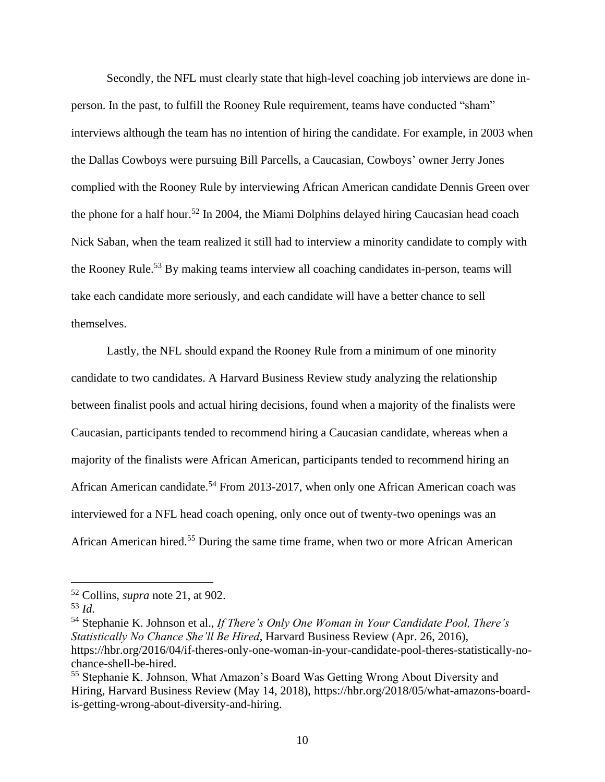Secondly, the NFL must clearly state that high-level coaching job interviews are done inperson. In the past, to fulfill the Rooney Rule requirement, teams have conducted "sham" interviews although the team has no intention of hiring the candidate. For example, in 2003 when the Dallas Cowboys were pursuing Bill Parcells, a Caucasian, Cowboys' owner Jerry Jones complied with the Rooney Rule by interviewing African American candidate Dennis Green over the phone for a half hour.<sup>52</sup> In 2004, the Miami Dolphins delayed hiring Caucasian head coach Nick Saban, when the team realized it still had to interview a minority candidate to comply with the Rooney Rule.<sup>53</sup> By making teams interview all coaching candidates in-person, teams will take each candidate more seriously, and each candidate will have a better chance to sell themselves.

Lastly, the NFL should expand the Rooney Rule from a minimum of one minority candidate to two candidates. A Harvard Business Review study analyzing the relationship between finalist pools and actual hiring decisions, found when a majority of the finalists were Caucasian, participants tended to recommend hiring a Caucasian candidate, whereas when a majority of the finalists were African American, participants tended to recommend hiring an African American candidate.<sup>54</sup> From 2013-2017, when only one African American coach was interviewed for a NFL head coach opening, only once out of twenty-two openings was an African American hired.<sup>55</sup> During the same time frame, when two or more African American

<sup>52</sup> Collins, *supra* note 21, at 902.

<sup>53</sup> *Id*.

<sup>54</sup> Stephanie K. Johnson et al., *If There's Only One Woman in Your Candidate Pool, There's Statistically No Chance She'll Be Hired*, Harvard Business Review (Apr. 26, 2016), [https://hbr.org/2016/04/if-theres-only-one-woman-in-your-candidate-pool-theres-statistically-no](https://hbr.org/2016/04/if-theres-only-one-woman-in-your-candidate-pool-theres-statistically-no-chance-shell-be-hired)[chance-shell-be-hired.](https://hbr.org/2016/04/if-theres-only-one-woman-in-your-candidate-pool-theres-statistically-no-chance-shell-be-hired)

<sup>55</sup> Stephanie K. Johnson, What Amazon's Board Was Getting Wrong About Diversity and Hiring, Harvard Business Review (May 14, 2018), [https://hbr.org/2018/05/what-amazons-board](https://hbr.org/2018/05/what-amazons-board-is-getting-wrong-about-diversity-and-hiring)[is-getting-wrong-about-diversity-and-hiring.](https://hbr.org/2018/05/what-amazons-board-is-getting-wrong-about-diversity-and-hiring)